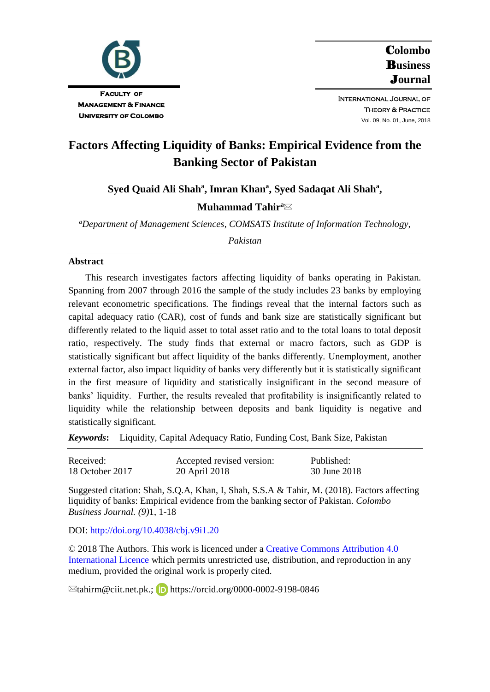

C**olombo**  B**usiness**  J**ournal**

International Journal of **THEORY & PRACTICE** Vol. 09, No. 01, June, 2018

# **Factors Affecting Liquidity of Banks: Empirical Evidence from the Banking Sector of Pakistan**

**Syed Quaid Ali Shah<sup>a</sup> , Imran Khan<sup>a</sup> , Syed Sadaqat Ali Shah<sup>a</sup> ,**

## **Muhammad Tahir<sup>a</sup>**

*<sup>a</sup>Department of Management Sciences, COMSATS Institute of Information Technology,* 

*Pakistan*

#### **Abstract**

This research investigates factors affecting liquidity of banks operating in Pakistan. Spanning from 2007 through 2016 the sample of the study includes 23 banks by employing relevant econometric specifications. The findings reveal that the internal factors such as capital adequacy ratio (CAR), cost of funds and bank size are statistically significant but differently related to the liquid asset to total asset ratio and to the total loans to total deposit ratio, respectively. The study finds that external or macro factors, such as GDP is statistically significant but affect liquidity of the banks differently. Unemployment, another external factor, also impact liquidity of banks very differently but it is statistically significant in the first measure of liquidity and statistically insignificant in the second measure of banks' liquidity. Further, the results revealed that profitability is insignificantly related to liquidity while the relationship between deposits and bank liquidity is negative and statistically significant.

*Keywords***:** Liquidity, Capital Adequacy Ratio, Funding Cost, Bank Size, Pakistan

| Received:       | Accepted revised version: | Published:   |
|-----------------|---------------------------|--------------|
| 18 October 2017 | 20 April 2018             | 30 June 2018 |

Suggested citation: Shah, S.Q.A, Khan, I, Shah, S.S.A & Tahir, M. (2018). Factors affecting liquidity of banks: Empirical evidence from the banking sector of Pakistan. *Colombo Business Journal. (9)*1, 1-18

DOI:<http://doi.org/10.4038/cbj.v9i1.20>

© 2018 The Authors. This work is licenced under [a Creative Commons Attribution 4.0](https://creativecommons.org/share-your-work/licensing-types-examples/licensing-examples/#by)  [International Licence](https://creativecommons.org/share-your-work/licensing-types-examples/licensing-examples/#by) which permits unrestricted use, distribution, and reproduction in any medium, provided the original work is properly cited.

 $\boxtimes$ tahirm@ciit.net.pk.;**b** https://orcid.org/0000-0002-9198-0846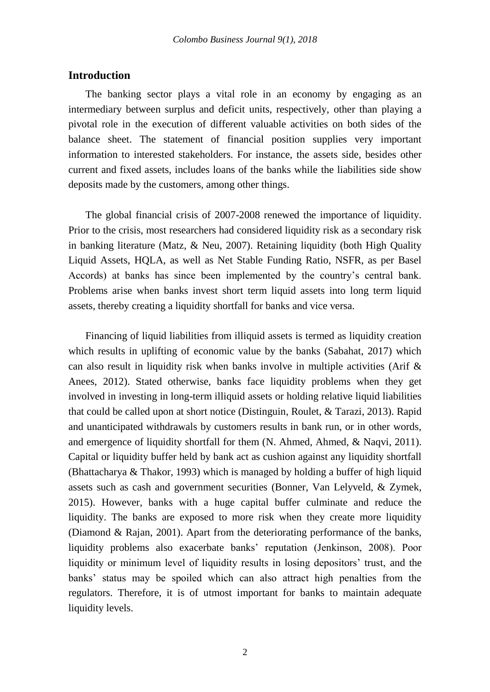## **Introduction**

The banking sector plays a vital role in an economy by engaging as an intermediary between surplus and deficit units, respectively, other than playing a pivotal role in the execution of different valuable activities on both sides of the balance sheet. The statement of financial position supplies very important information to interested stakeholders. For instance, the assets side, besides other current and fixed assets, includes loans of the banks while the liabilities side show deposits made by the customers, among other things.

The global financial crisis of 2007-2008 renewed the importance of liquidity. Prior to the crisis, most researchers had considered liquidity risk as a secondary risk in banking literature (Matz, & Neu, 2007). Retaining liquidity (both High Quality Liquid Assets, HQLA, as well as Net Stable Funding Ratio, NSFR, as per Basel Accords) at banks has since been implemented by the country's central bank. Problems arise when banks invest short term liquid assets into long term liquid assets, thereby creating a liquidity shortfall for banks and vice versa.

Financing of liquid liabilities from illiquid assets is termed as liquidity creation which results in uplifting of economic value by the banks (Sabahat, 2017) which can also result in liquidity risk when banks involve in multiple activities (Arif  $\&$ Anees, 2012). Stated otherwise, banks face liquidity problems when they get involved in investing in long-term illiquid assets or holding relative liquid liabilities that could be called upon at short notice (Distinguin, Roulet, & Tarazi, 2013). Rapid and unanticipated withdrawals by customers results in bank run, or in other words, and emergence of liquidity shortfall for them (N. Ahmed, Ahmed, & Naqvi, 2011). Capital or liquidity buffer held by bank act as cushion against any liquidity shortfall (Bhattacharya & Thakor, 1993) which is managed by holding a buffer of high liquid assets such as cash and government securities (Bonner, Van Lelyveld, & Zymek, 2015). However, banks with a huge capital buffer culminate and reduce the liquidity. The banks are exposed to more risk when they create more liquidity (Diamond & Rajan, 2001). Apart from the deteriorating performance of the banks, liquidity problems also exacerbate banks' reputation (Jenkinson, 2008). Poor liquidity or minimum level of liquidity results in losing depositors' trust, and the banks' status may be spoiled which can also attract high penalties from the regulators. Therefore, it is of utmost important for banks to maintain adequate liquidity levels.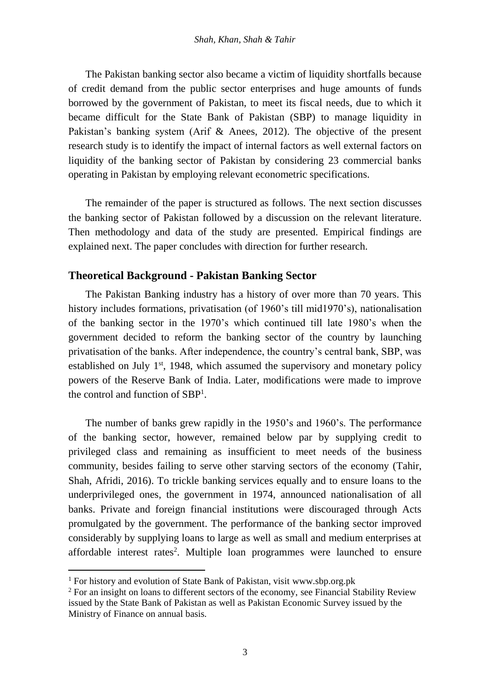The Pakistan banking sector also became a victim of liquidity shortfalls because of credit demand from the public sector enterprises and huge amounts of funds borrowed by the government of Pakistan, to meet its fiscal needs, due to which it became difficult for the State Bank of Pakistan (SBP) to manage liquidity in Pakistan's banking system (Arif & Anees, 2012). The objective of the present research study is to identify the impact of internal factors as well external factors on liquidity of the banking sector of Pakistan by considering 23 commercial banks operating in Pakistan by employing relevant econometric specifications.

The remainder of the paper is structured as follows. The next section discusses the banking sector of Pakistan followed by a discussion on the relevant literature. Then methodology and data of the study are presented. Empirical findings are explained next. The paper concludes with direction for further research.

# **Theoretical Background - Pakistan Banking Sector**

The Pakistan Banking industry has a history of over more than 70 years. This history includes formations, privatisation (of 1960's till mid1970's), nationalisation of the banking sector in the 1970's which continued till late 1980's when the government decided to reform the banking sector of the country by launching privatisation of the banks. After independence, the country's central bank, SBP, was established on July  $1<sup>st</sup>$ , 1948, which assumed the supervisory and monetary policy powers of the Reserve Bank of India. Later, modifications were made to improve the control and function of SBP<sup>1</sup> .

The number of banks grew rapidly in the 1950's and 1960's. The performance of the banking sector, however, remained below par by supplying credit to privileged class and remaining as insufficient to meet needs of the business community, besides failing to serve other starving sectors of the economy (Tahir, Shah, Afridi, 2016). To trickle banking services equally and to ensure loans to the underprivileged ones, the government in 1974, announced nationalisation of all banks. Private and foreign financial institutions were discouraged through Acts promulgated by the government. The performance of the banking sector improved considerably by supplying loans to large as well as small and medium enterprises at affordable interest rates<sup>2</sup>. Multiple loan programmes were launched to ensure

1

<sup>&</sup>lt;sup>1</sup> For history and evolution of State Bank of Pakistan, visit www.sbp.org.pk

<sup>&</sup>lt;sup>2</sup> For an insight on loans to different sectors of the economy, see Financial Stability Review issued by the State Bank of Pakistan as well as Pakistan Economic Survey issued by the Ministry of Finance on annual basis.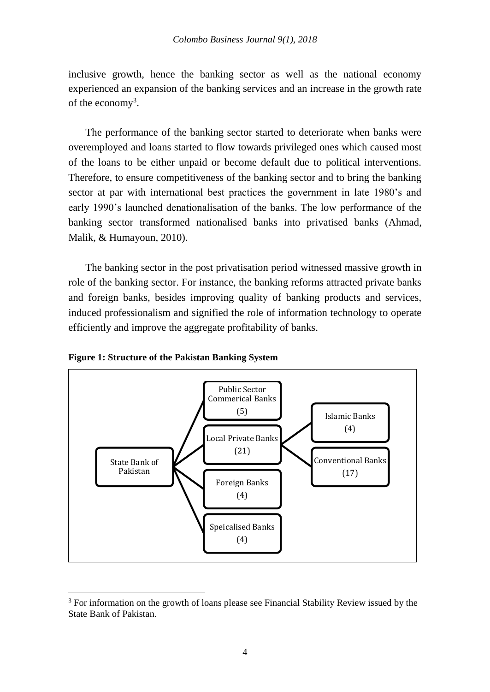inclusive growth, hence the banking sector as well as the national economy experienced an expansion of the banking services and an increase in the growth rate of the economy<sup>3</sup>.

The performance of the banking sector started to deteriorate when banks were overemployed and loans started to flow towards privileged ones which caused most of the loans to be either unpaid or become default due to political interventions. Therefore, to ensure competitiveness of the banking sector and to bring the banking sector at par with international best practices the government in late 1980's and early 1990's launched denationalisation of the banks. The low performance of the banking sector transformed nationalised banks into privatised banks (Ahmad, Malik, & Humayoun, 2010).

The banking sector in the post privatisation period witnessed massive growth in role of the banking sector. For instance, the banking reforms attracted private banks and foreign banks, besides improving quality of banking products and services, induced professionalism and signified the role of information technology to operate efficiently and improve the aggregate profitability of banks.





<u>.</u>

<sup>&</sup>lt;sup>3</sup> For information on the growth of loans please see Financial Stability Review issued by the State Bank of Pakistan.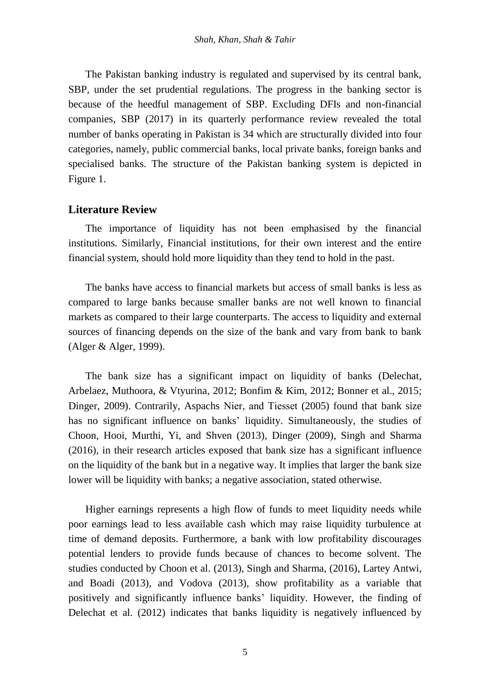The Pakistan banking industry is regulated and supervised by its central bank, SBP, under the set prudential regulations. The progress in the banking sector is because of the heedful management of SBP. Excluding DFIs and non-financial companies, SBP (2017) in its quarterly performance review revealed the total number of banks operating in Pakistan is 34 which are structurally divided into four categories, namely, public commercial banks, local private banks, foreign banks and specialised banks. The structure of the Pakistan banking system is depicted in Figure 1.

# **Literature Review**

The importance of liquidity has not been emphasised by the financial institutions. Similarly, Financial institutions, for their own interest and the entire financial system, should hold more liquidity than they tend to hold in the past.

The banks have access to financial markets but access of small banks is less as compared to large banks because smaller banks are not well known to financial markets as compared to their large counterparts. The access to liquidity and external sources of financing depends on the size of the bank and vary from bank to bank (Alger & Alger, 1999).

The bank size has a significant impact on liquidity of banks (Delechat, Arbelaez, Muthoora, & Vtyurina, 2012; Bonfim & Kim, 2012; Bonner et al., 2015; Dinger, 2009). Contrarily, Aspachs Nier, and Tiesset (2005) found that bank size has no significant influence on banks' liquidity. Simultaneously, the studies of Choon, Hooi, Murthi, Yi, and Shven (2013), Dinger (2009), Singh and Sharma (2016), in their research articles exposed that bank size has a significant influence on the liquidity of the bank but in a negative way. It implies that larger the bank size lower will be liquidity with banks; a negative association, stated otherwise.

Higher earnings represents a high flow of funds to meet liquidity needs while poor earnings lead to less available cash which may raise liquidity turbulence at time of demand deposits. Furthermore, a bank with low profitability discourages potential lenders to provide funds because of chances to become solvent. The studies conducted by Choon et al. (2013), Singh and Sharma, (2016), Lartey Antwi, and Boadi (2013), and Vodova (2013), show profitability as a variable that positively and significantly influence banks' liquidity. However, the finding of Delechat et al. (2012) indicates that banks liquidity is negatively influenced by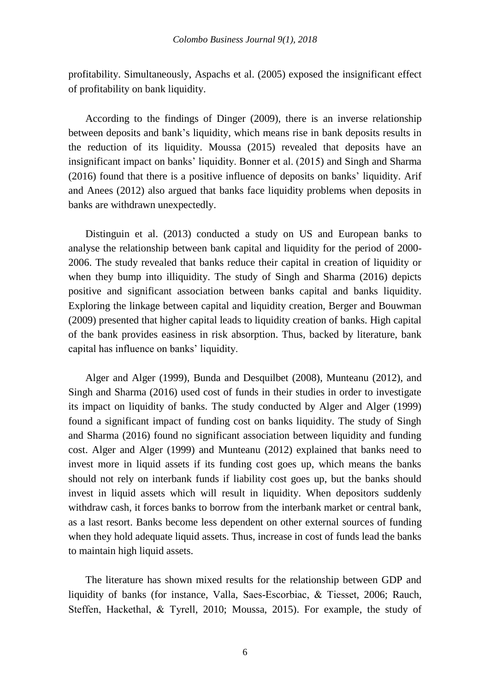profitability. Simultaneously, Aspachs et al. (2005) exposed the insignificant effect of profitability on bank liquidity.

According to the findings of Dinger (2009), there is an inverse relationship between deposits and bank's liquidity, which means rise in bank deposits results in the reduction of its liquidity. Moussa (2015) revealed that deposits have an insignificant impact on banks' liquidity. Bonner et al. (2015) and Singh and Sharma (2016) found that there is a positive influence of deposits on banks' liquidity. Arif and Anees (2012) also argued that banks face liquidity problems when deposits in banks are withdrawn unexpectedly.

Distinguin et al. (2013) conducted a study on US and European banks to analyse the relationship between bank capital and liquidity for the period of 2000- 2006. The study revealed that banks reduce their capital in creation of liquidity or when they bump into illiquidity. The study of Singh and Sharma (2016) depicts positive and significant association between banks capital and banks liquidity. Exploring the linkage between capital and liquidity creation, Berger and Bouwman (2009) presented that higher capital leads to liquidity creation of banks. High capital of the bank provides easiness in risk absorption. Thus, backed by literature, bank capital has influence on banks' liquidity.

Alger and Alger (1999), Bunda and Desquilbet (2008), Munteanu (2012), and Singh and Sharma (2016) used cost of funds in their studies in order to investigate its impact on liquidity of banks. The study conducted by Alger and Alger (1999) found a significant impact of funding cost on banks liquidity. The study of Singh and Sharma (2016) found no significant association between liquidity and funding cost. Alger and Alger (1999) and Munteanu (2012) explained that banks need to invest more in liquid assets if its funding cost goes up, which means the banks should not rely on interbank funds if liability cost goes up, but the banks should invest in liquid assets which will result in liquidity. When depositors suddenly withdraw cash, it forces banks to borrow from the interbank market or central bank, as a last resort. Banks become less dependent on other external sources of funding when they hold adequate liquid assets. Thus, increase in cost of funds lead the banks to maintain high liquid assets.

The literature has shown mixed results for the relationship between GDP and liquidity of banks (for instance, Valla, Saes-Escorbiac, & Tiesset, 2006; Rauch, Steffen, Hackethal, & Tyrell, 2010; Moussa, 2015). For example, the study of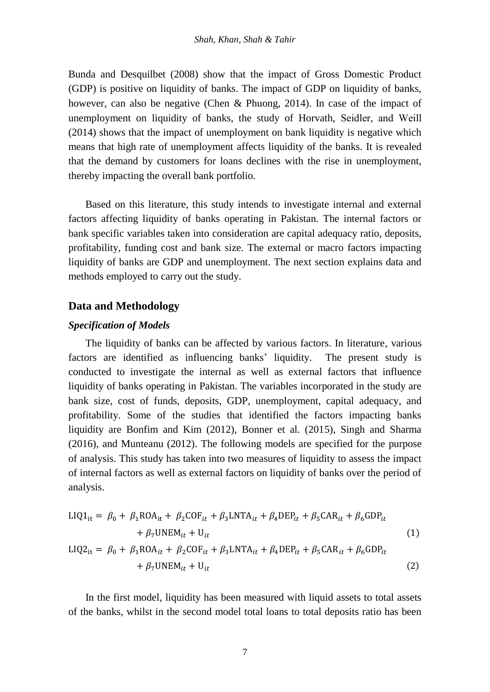Bunda and Desquilbet (2008) show that the impact of Gross Domestic Product (GDP) is positive on liquidity of banks. The impact of GDP on liquidity of banks, however, can also be negative (Chen & Phuong, 2014). In case of the impact of unemployment on liquidity of banks, the study of Horvath, Seidler, and Weill (2014) shows that the impact of unemployment on bank liquidity is negative which means that high rate of unemployment affects liquidity of the banks. It is revealed that the demand by customers for loans declines with the rise in unemployment, thereby impacting the overall bank portfolio.

Based on this literature, this study intends to investigate internal and external factors affecting liquidity of banks operating in Pakistan. The internal factors or bank specific variables taken into consideration are capital adequacy ratio, deposits, profitability, funding cost and bank size. The external or macro factors impacting liquidity of banks are GDP and unemployment. The next section explains data and methods employed to carry out the study.

## **Data and Methodology**

#### *Specification of Models*

The liquidity of banks can be affected by various factors. In literature, various factors are identified as influencing banks' liquidity. The present study is conducted to investigate the internal as well as external factors that influence liquidity of banks operating in Pakistan. The variables incorporated in the study are bank size, cost of funds, deposits, GDP, unemployment, capital adequacy, and profitability. Some of the studies that identified the factors impacting banks liquidity are Bonfim and Kim (2012), Bonner et al. (2015), Singh and Sharma (2016), and Munteanu (2012). The following models are specified for the purpose of analysis. This study has taken into two measures of liquidity to assess the impact of internal factors as well as external factors on liquidity of banks over the period of analysis.

$$
LIQ1_{it} = \beta_0 + \beta_1 ROA_{it} + \beta_2 COF_{it} + \beta_3 LNTA_{it} + \beta_4 DEP_{it} + \beta_5 CAR_{it} + \beta_6 GDP_{it}
$$
  
+  $\beta_7 UNEM_{it} + U_{it}$   

$$
LIQ2_{it} = \beta_0 + \beta_1 ROA_{it} + \beta_2 COF_{it} + \beta_3 LNTA_{it} + \beta_4 DEP_{it} + \beta_5 CAR_{it} + \beta_6 GDP_{it}
$$
  
+  $\beta_7 UNEM_{it} + U_{it}$  (2)

In the first model, liquidity has been measured with liquid assets to total assets of the banks, whilst in the second model total loans to total deposits ratio has been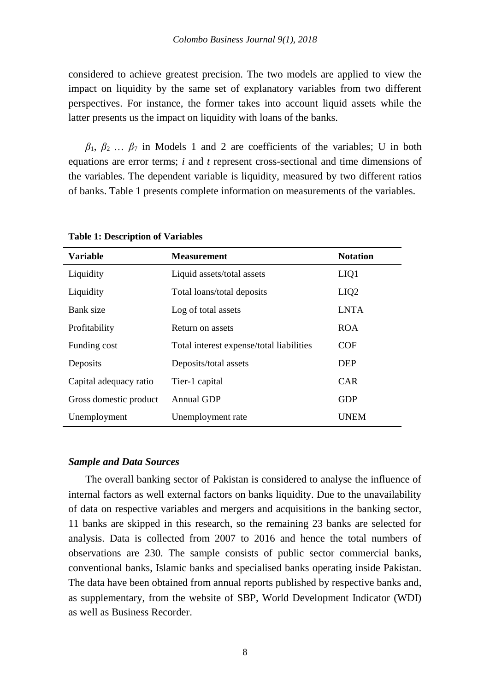considered to achieve greatest precision. The two models are applied to view the impact on liquidity by the same set of explanatory variables from two different perspectives. For instance, the former takes into account liquid assets while the latter presents us the impact on liquidity with loans of the banks.

 $\beta_1, \beta_2, \ldots, \beta_7$  in Models 1 and 2 are coefficients of the variables; U in both equations are error terms; *i* and *t* represent cross-sectional and time dimensions of the variables. The dependent variable is liquidity, measured by two different ratios of banks. Table 1 presents complete information on measurements of the variables.

| <b>Variable</b>        | <b>Measurement</b>                       | <b>Notation</b>  |
|------------------------|------------------------------------------|------------------|
| Liquidity              | Liquid assets/total assets               | LIQ1             |
| Liquidity              | Total loans/total deposits               | LIQ <sub>2</sub> |
| Bank size              | Log of total assets                      | <b>LNTA</b>      |
| Profitability          | Return on assets                         | <b>ROA</b>       |
| Funding cost           | Total interest expense/total liabilities | <b>COF</b>       |
| Deposits               | Deposits/total assets                    | <b>DEP</b>       |
| Capital adequacy ratio | Tier-1 capital                           | <b>CAR</b>       |
| Gross domestic product | Annual GDP                               | <b>GDP</b>       |
| Unemployment           | Unemployment rate                        | <b>UNEM</b>      |

**Table 1: Description of Variables**

#### *Sample and Data Sources*

The overall banking sector of Pakistan is considered to analyse the influence of internal factors as well external factors on banks liquidity. Due to the unavailability of data on respective variables and mergers and acquisitions in the banking sector, 11 banks are skipped in this research, so the remaining 23 banks are selected for analysis. Data is collected from 2007 to 2016 and hence the total numbers of observations are 230. The sample consists of public sector commercial banks, conventional banks, Islamic banks and specialised banks operating inside Pakistan. The data have been obtained from annual reports published by respective banks and, as supplementary, from the website of SBP, World Development Indicator (WDI) as well as Business Recorder.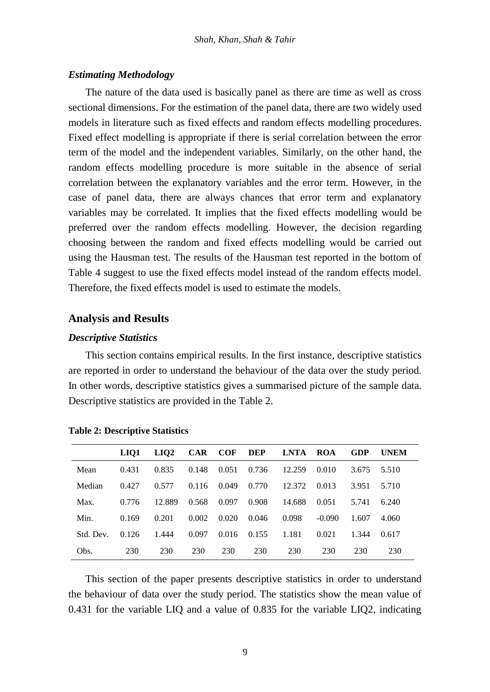## *Estimating Methodology*

The nature of the data used is basically panel as there are time as well as cross sectional dimensions. For the estimation of the panel data, there are two widely used models in literature such as fixed effects and random effects modelling procedures. Fixed effect modelling is appropriate if there is serial correlation between the error term of the model and the independent variables. Similarly, on the other hand, the random effects modelling procedure is more suitable in the absence of serial correlation between the explanatory variables and the error term. However, in the case of panel data, there are always chances that error term and explanatory variables may be correlated. It implies that the fixed effects modelling would be preferred over the random effects modelling. However, the decision regarding choosing between the random and fixed effects modelling would be carried out using the Hausman test. The results of the Hausman test reported in the bottom of Table 4 suggest to use the fixed effects model instead of the random effects model. Therefore, the fixed effects model is used to estimate the models.

#### **Analysis and Results**

#### *Descriptive Statistics*

This section contains empirical results. In the first instance, descriptive statistics are reported in order to understand the behaviour of the data over the study period. In other words, descriptive statistics gives a summarised picture of the sample data. Descriptive statistics are provided in the Table 2.

|           | LIO1  | LIO <sub>2</sub> | <b>CAR</b> | <b>COF</b> | DEP   | LNTA   | ROA      | <b>GDP</b> | <b>UNEM</b> |
|-----------|-------|------------------|------------|------------|-------|--------|----------|------------|-------------|
| Mean      | 0.431 | 0.835            | 0.148      | 0.051      | 0.736 | 12.259 | 0.010    | 3.675      | 5.510       |
| Median    | 0.427 | 0.577            | 0.116      | 0.049      | 0.770 | 12.372 | 0.013    | 3.951      | 5.710       |
| Max.      | 0.776 | 12.889           | 0.568      | 0.097      | 0.908 | 14.688 | 0.051    | 5.741      | 6.240       |
| Min.      | 0.169 | 0.201            | 0.002      | 0.020      | 0.046 | 0.098  | $-0.090$ | 1.607      | 4.060       |
| Std. Dev. | 0.126 | 1.444            | 0.097      | 0.016      | 0.155 | 1.181  | 0.021    | 1.344      | 0.617       |
| Obs.      | 230   | 230              | 230        | 230        | 230   | 230    | 230      | 230        | 230         |

**Table 2: Descriptive Statistics**

This section of the paper presents descriptive statistics in order to understand the behaviour of data over the study period. The statistics show the mean value of 0.431 for the variable LIQ and a value of 0.835 for the variable LIQ2, indicating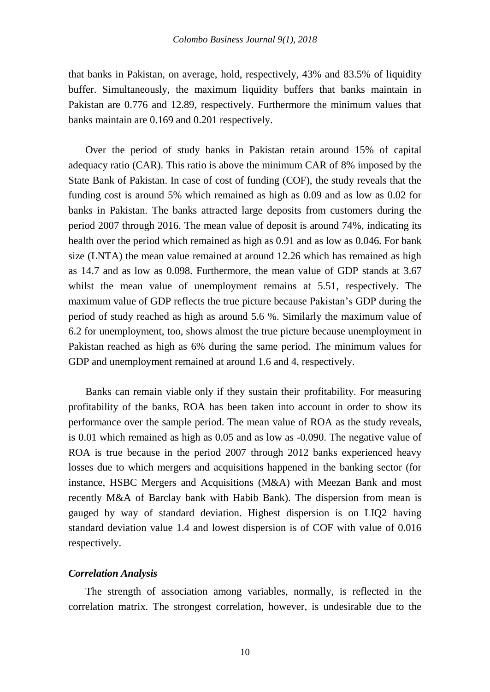that banks in Pakistan, on average, hold, respectively, 43% and 83.5% of liquidity buffer. Simultaneously, the maximum liquidity buffers that banks maintain in Pakistan are 0.776 and 12.89, respectively. Furthermore the minimum values that banks maintain are 0.169 and 0.201 respectively.

Over the period of study banks in Pakistan retain around 15% of capital adequacy ratio (CAR). This ratio is above the minimum CAR of 8% imposed by the State Bank of Pakistan. In case of cost of funding (COF), the study reveals that the funding cost is around 5% which remained as high as 0.09 and as low as 0.02 for banks in Pakistan. The banks attracted large deposits from customers during the period 2007 through 2016. The mean value of deposit is around 74%, indicating its health over the period which remained as high as 0.91 and as low as 0.046. For bank size (LNTA) the mean value remained at around 12.26 which has remained as high as 14.7 and as low as 0.098. Furthermore, the mean value of GDP stands at 3.67 whilst the mean value of unemployment remains at 5.51, respectively. The maximum value of GDP reflects the true picture because Pakistan's GDP during the period of study reached as high as around 5.6 %. Similarly the maximum value of 6.2 for unemployment, too, shows almost the true picture because unemployment in Pakistan reached as high as 6% during the same period. The minimum values for GDP and unemployment remained at around 1.6 and 4, respectively.

Banks can remain viable only if they sustain their profitability. For measuring profitability of the banks, ROA has been taken into account in order to show its performance over the sample period. The mean value of ROA as the study reveals, is 0.01 which remained as high as 0.05 and as low as -0.090. The negative value of ROA is true because in the period 2007 through 2012 banks experienced heavy losses due to which mergers and acquisitions happened in the banking sector (for instance, HSBC Mergers and Acquisitions (M&A) with Meezan Bank and most recently M&A of Barclay bank with Habib Bank). The dispersion from mean is gauged by way of standard deviation. Highest dispersion is on LIQ2 having standard deviation value 1.4 and lowest dispersion is of COF with value of 0.016 respectively.

## *Correlation Analysis*

The strength of association among variables, normally, is reflected in the correlation matrix. The strongest correlation, however, is undesirable due to the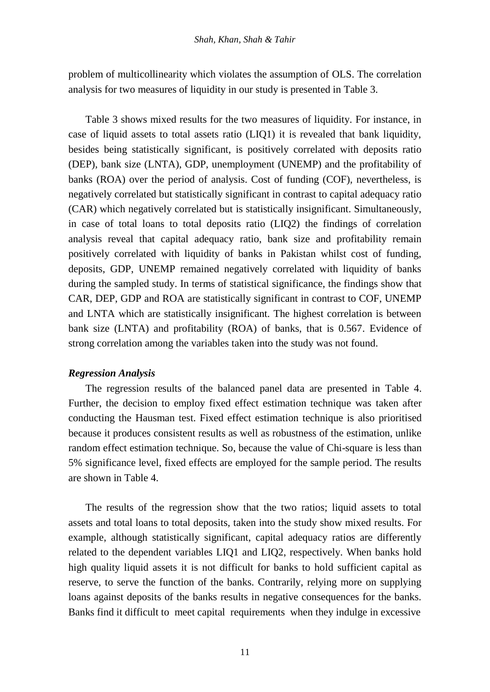problem of multicollinearity which violates the assumption of OLS. The correlation analysis for two measures of liquidity in our study is presented in Table 3.

Table 3 shows mixed results for the two measures of liquidity. For instance, in case of liquid assets to total assets ratio (LIQ1) it is revealed that bank liquidity, besides being statistically significant, is positively correlated with deposits ratio (DEP), bank size (LNTA), GDP, unemployment (UNEMP) and the profitability of banks (ROA) over the period of analysis. Cost of funding (COF), nevertheless, is negatively correlated but statistically significant in contrast to capital adequacy ratio (CAR) which negatively correlated but is statistically insignificant. Simultaneously, in case of total loans to total deposits ratio (LIQ2) the findings of correlation analysis reveal that capital adequacy ratio, bank size and profitability remain positively correlated with liquidity of banks in Pakistan whilst cost of funding, deposits, GDP, UNEMP remained negatively correlated with liquidity of banks during the sampled study. In terms of statistical significance, the findings show that CAR, DEP, GDP and ROA are statistically significant in contrast to COF, UNEMP and LNTA which are statistically insignificant. The highest correlation is between bank size (LNTA) and profitability (ROA) of banks, that is 0.567. Evidence of strong correlation among the variables taken into the study was not found.

#### *Regression Analysis*

The regression results of the balanced panel data are presented in Table 4. Further, the decision to employ fixed effect estimation technique was taken after conducting the Hausman test. Fixed effect estimation technique is also prioritised because it produces consistent results as well as robustness of the estimation, unlike random effect estimation technique. So, because the value of Chi-square is less than 5% significance level, fixed effects are employed for the sample period. The results are shown in Table 4.

The results of the regression show that the two ratios; liquid assets to total assets and total loans to total deposits, taken into the study show mixed results. For example, although statistically significant, capital adequacy ratios are differently related to the dependent variables LIQ1 and LIQ2, respectively. When banks hold high quality liquid assets it is not difficult for banks to hold sufficient capital as reserve, to serve the function of the banks. Contrarily, relying more on supplying loans against deposits of the banks results in negative consequences for the banks. Banks find it difficult to meet capital requirements when they indulge in excessive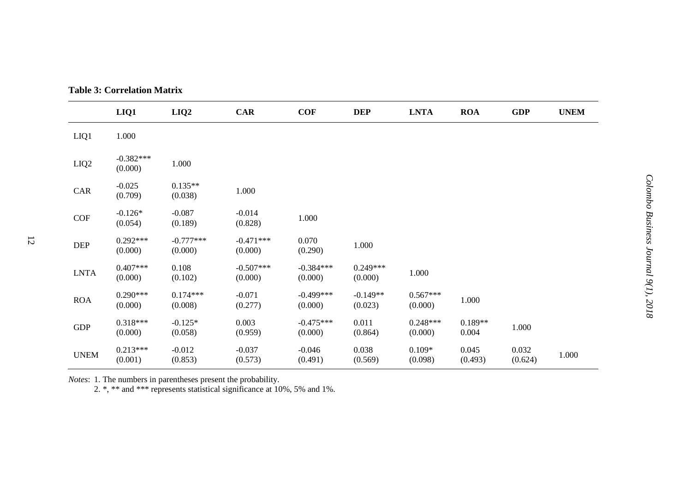|                            | LIQ1                   | LIQ2                   | CAR                    | <b>COF</b>             | <b>DEP</b>            | <b>LNTA</b>           | <b>ROA</b>         | GDP              | <b>UNEM</b> |
|----------------------------|------------------------|------------------------|------------------------|------------------------|-----------------------|-----------------------|--------------------|------------------|-------------|
| LIQ1                       | 1.000                  |                        |                        |                        |                       |                       |                    |                  |             |
| LIQ <sub>2</sub>           | $-0.382***$<br>(0.000) | 1.000                  |                        |                        |                       |                       |                    |                  |             |
| CAR                        | $-0.025$<br>(0.709)    | $0.135**$<br>(0.038)   | 1.000                  |                        |                       |                       |                    |                  |             |
| COF                        | $-0.126*$<br>(0.054)   | $-0.087$<br>(0.189)    | $-0.014$<br>(0.828)    | 1.000                  |                       |                       |                    |                  |             |
| DEP                        | $0.292***$<br>(0.000)  | $-0.777***$<br>(0.000) | $-0.471***$<br>(0.000) | 0.070<br>(0.290)       | 1.000                 |                       |                    |                  |             |
| $\ensuremath{\text{LNTA}}$ | $0.407***$<br>(0.000)  | 0.108<br>(0.102)       | $-0.507***$<br>(0.000) | $-0.384***$<br>(0.000) | $0.249***$<br>(0.000) | 1.000                 |                    |                  |             |
| ROA                        | $0.290***$<br>(0.000)  | $0.174***$<br>(0.008)  | $-0.071$<br>(0.277)    | $-0.499***$<br>(0.000) | $-0.149**$<br>(0.023) | $0.567***$<br>(0.000) | 1.000              |                  |             |
| GDP                        | $0.318***$<br>(0.000)  | $-0.125*$<br>(0.058)   | 0.003<br>(0.959)       | $-0.475***$<br>(0.000) | 0.011<br>(0.864)      | $0.248***$<br>(0.000) | $0.189**$<br>0.004 | 1.000            |             |
| <b>UNEM</b>                | $0.213***$<br>(0.001)  | $-0.012$<br>(0.853)    | $-0.037$<br>(0.573)    | $-0.046$<br>(0.491)    | 0.038<br>(0.569)      | $0.109*$<br>(0.098)   | 0.045<br>(0.493)   | 0.032<br>(0.624) | 1.000       |

**Table 3: Correlation Matrix**

*Note s*: 1. The numbers in parentheses present the probability.

2. \*, \*\* and \*\*\* represents statistical significance at 10%, 5% and 1%.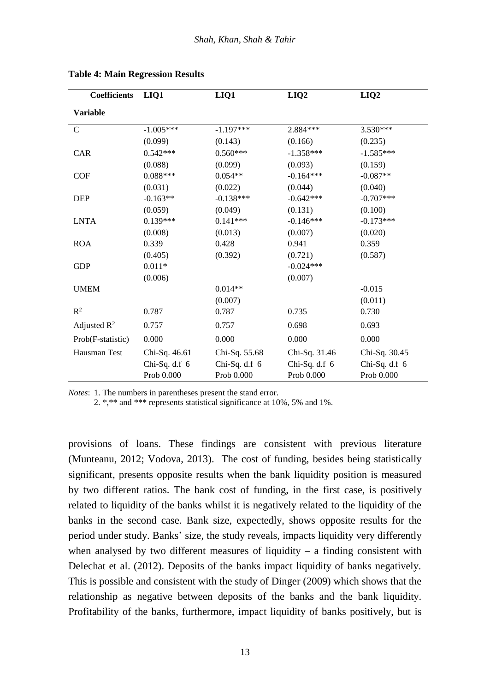| <b>Coefficients</b>     | LIQ1          | LIQ1            | LIQ <sub>2</sub> | LIQ <sub>2</sub> |
|-------------------------|---------------|-----------------|------------------|------------------|
| <b>Variable</b>         |               |                 |                  |                  |
| $\mathcal{C}$           | $-1.005***$   | $-1.197***$     | 2.884 ***        | 3.530***         |
|                         | (0.099)       | (0.143)         | (0.166)          | (0.235)          |
| <b>CAR</b>              | $0.542***$    | $0.560***$      | $-1.358***$      | $-1.585***$      |
|                         | (0.088)       | (0.099)         | (0.093)          | (0.159)          |
| <b>COF</b>              | $0.088***$    | $0.054**$       | $-0.164***$      | $-0.087**$       |
|                         | (0.031)       | (0.022)         | (0.044)          | (0.040)          |
| DEP                     | $-0.163**$    | $-0.138***$     | $-0.642***$      | $-0.707***$      |
|                         | (0.059)       | (0.049)         | (0.131)          | (0.100)          |
| <b>LNTA</b>             | $0.139***$    | $0.141***$      | $-0.146***$      | $-0.173***$      |
|                         | (0.008)       | (0.013)         | (0.007)          | (0.020)          |
| <b>ROA</b>              | 0.339         | 0.428           | 0.941            | 0.359            |
|                         | (0.405)       | (0.392)         | (0.721)          | (0.587)          |
| <b>GDP</b>              | $0.011*$      |                 | $-0.024***$      |                  |
|                         | (0.006)       |                 | (0.007)          |                  |
| <b>UMEM</b>             |               | $0.014**$       |                  | $-0.015$         |
|                         |               | (0.007)         |                  | (0.011)          |
| $\mathbb{R}^2$          | 0.787         | 0.787           | 0.735            | 0.730            |
| Adjusted $\mathbb{R}^2$ | 0.757         | 0.757           | 0.698            | 0.693            |
| Prob(F-statistic)       | 0.000         | 0.000           | 0.000            | 0.000            |
| Hausman Test            | Chi-Sq. 46.61 | Chi-Sq. 55.68   | Chi-Sq. 31.46    | Chi-Sq. 30.45    |
|                         | Chi-Sq. d.f 6 | Chi-Sq. d.f $6$ | Chi-Sq. d.f $6$  | Chi-Sq. d.f 6    |
|                         | Prob 0.000    | Prob 0.000      | Prob 0.000       | Prob 0.000       |

**Table 4: Main Regression Results**

*Notes*: 1. The numbers in parentheses present the stand error.

2. \*,\*\* and \*\*\* represents statistical significance at 10%, 5% and 1%.

provisions of loans. These findings are consistent with previous literature (Munteanu, 2012; Vodova, 2013). The cost of funding, besides being statistically significant, presents opposite results when the bank liquidity position is measured by two different ratios. The bank cost of funding, in the first case, is positively related to liquidity of the banks whilst it is negatively related to the liquidity of the banks in the second case. Bank size, expectedly, shows opposite results for the period under study. Banks' size, the study reveals, impacts liquidity very differently when analysed by two different measures of liquidity  $-$  a finding consistent with Delechat et al. (2012). Deposits of the banks impact liquidity of banks negatively. This is possible and consistent with the study of Dinger (2009) which shows that the relationship as negative between deposits of the banks and the bank liquidity. Profitability of the banks, furthermore, impact liquidity of banks positively, but is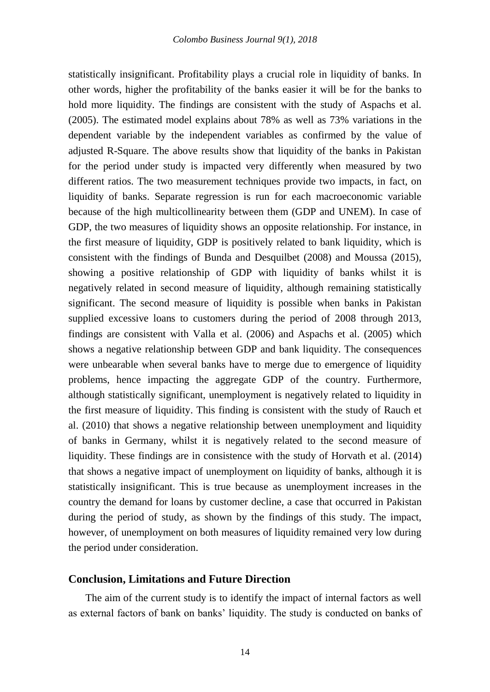statistically insignificant. Profitability plays a crucial role in liquidity of banks. In other words, higher the profitability of the banks easier it will be for the banks to hold more liquidity. The findings are consistent with the study of Aspachs et al. (2005). The estimated model explains about 78% as well as 73% variations in the dependent variable by the independent variables as confirmed by the value of adjusted R-Square. The above results show that liquidity of the banks in Pakistan for the period under study is impacted very differently when measured by two different ratios. The two measurement techniques provide two impacts, in fact, on liquidity of banks. Separate regression is run for each macroeconomic variable because of the high multicollinearity between them (GDP and UNEM). In case of GDP, the two measures of liquidity shows an opposite relationship. For instance, in the first measure of liquidity, GDP is positively related to bank liquidity, which is consistent with the findings of Bunda and Desquilbet (2008) and Moussa (2015), showing a positive relationship of GDP with liquidity of banks whilst it is negatively related in second measure of liquidity, although remaining statistically significant. The second measure of liquidity is possible when banks in Pakistan supplied excessive loans to customers during the period of 2008 through 2013, findings are consistent with Valla et al. (2006) and Aspachs et al. (2005) which shows a negative relationship between GDP and bank liquidity. The consequences were unbearable when several banks have to merge due to emergence of liquidity problems, hence impacting the aggregate GDP of the country. Furthermore, although statistically significant, unemployment is negatively related to liquidity in the first measure of liquidity. This finding is consistent with the study of Rauch et al. (2010) that shows a negative relationship between unemployment and liquidity of banks in Germany, whilst it is negatively related to the second measure of liquidity. These findings are in consistence with the study of Horvath et al. (2014) that shows a negative impact of unemployment on liquidity of banks, although it is statistically insignificant. This is true because as unemployment increases in the country the demand for loans by customer decline, a case that occurred in Pakistan during the period of study, as shown by the findings of this study. The impact, however, of unemployment on both measures of liquidity remained very low during the period under consideration.

## **Conclusion, Limitations and Future Direction**

The aim of the current study is to identify the impact of internal factors as well as external factors of bank on banks' liquidity. The study is conducted on banks of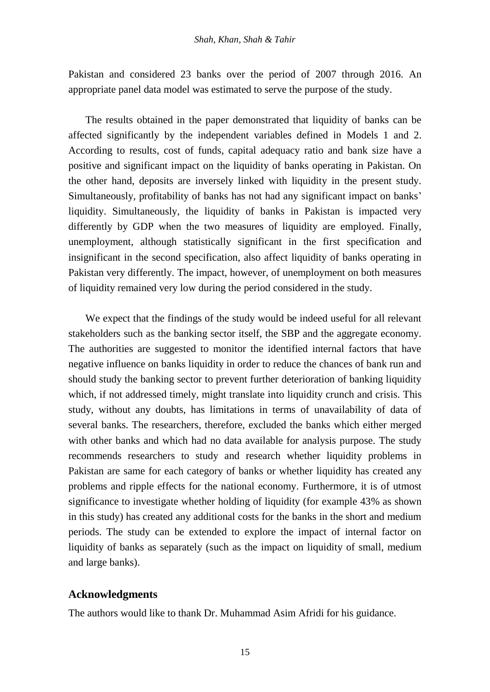Pakistan and considered 23 banks over the period of 2007 through 2016. An appropriate panel data model was estimated to serve the purpose of the study.

The results obtained in the paper demonstrated that liquidity of banks can be affected significantly by the independent variables defined in Models 1 and 2. According to results, cost of funds, capital adequacy ratio and bank size have a positive and significant impact on the liquidity of banks operating in Pakistan. On the other hand, deposits are inversely linked with liquidity in the present study. Simultaneously, profitability of banks has not had any significant impact on banks' liquidity. Simultaneously, the liquidity of banks in Pakistan is impacted very differently by GDP when the two measures of liquidity are employed. Finally, unemployment, although statistically significant in the first specification and insignificant in the second specification, also affect liquidity of banks operating in Pakistan very differently. The impact, however, of unemployment on both measures of liquidity remained very low during the period considered in the study.

We expect that the findings of the study would be indeed useful for all relevant stakeholders such as the banking sector itself, the SBP and the aggregate economy. The authorities are suggested to monitor the identified internal factors that have negative influence on banks liquidity in order to reduce the chances of bank run and should study the banking sector to prevent further deterioration of banking liquidity which, if not addressed timely, might translate into liquidity crunch and crisis. This study, without any doubts, has limitations in terms of unavailability of data of several banks. The researchers, therefore, excluded the banks which either merged with other banks and which had no data available for analysis purpose. The study recommends researchers to study and research whether liquidity problems in Pakistan are same for each category of banks or whether liquidity has created any problems and ripple effects for the national economy. Furthermore, it is of utmost significance to investigate whether holding of liquidity (for example 43% as shown in this study) has created any additional costs for the banks in the short and medium periods. The study can be extended to explore the impact of internal factor on liquidity of banks as separately (such as the impact on liquidity of small, medium and large banks).

## **Acknowledgments**

The authors would like to thank Dr. Muhammad Asim Afridi for his guidance.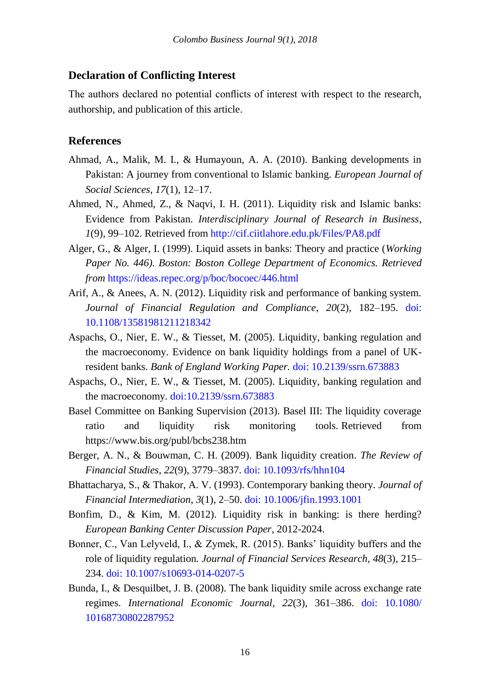# **Declaration of Conflicting Interest**

The authors declared no potential conflicts of interest with respect to the research, authorship, and publication of this article.

# **References**

- Ahmad, A., Malik, M. I., & Humayoun, A. A. (2010). Banking developments in Pakistan: A journey from conventional to Islamic banking. *European Journal of Social Sciences*, *17*(1), 12–17.
- Ahmed, N., Ahmed, Z., & Naqvi, I. H. (2011). Liquidity risk and Islamic banks: Evidence from Pakistan. *Interdisciplinary Journal of Research in Business*, *1*(9), 99–102. Retrieved from<http://cif.ciitlahore.edu.pk/Files/PA8.pdf>
- Alger, G., & Alger, I. (1999). Liquid assets in banks: Theory and practice (*Working Paper No. 446). Boston: Boston College Department of Economics. Retrieved from* <https://ideas.repec.org/p/boc/bocoec/446.html>
- Arif, A., & Anees, A. N. (2012). Liquidity risk and performance of banking system. *Journal of Financial Regulation and Compliance*, *20*(2), 182–195. [doi:](https://www.emeraldinsight.com/doi/full/10.1108/13581981211218342)  [10.1108/13581981211218342](https://www.emeraldinsight.com/doi/full/10.1108/13581981211218342)
- Aspachs, O., Nier, E. W., & Tiesset, M. (2005). Liquidity, banking regulation and the macroeconomy. Evidence on bank liquidity holdings from a panel of UKresident banks. *Bank of England Working Paper.* [doi: 10.2139/ssrn.673883](https://papers.ssrn.com/sol3/papers.cfm?abstract_id=673883)
- Aspachs, O., Nier, E. W., & Tiesset, M. (2005). Liquidity, banking regulation and the macroeconomy. [doi:10.2139/ssrn.673883](https://doi.org/10.2139/ssrn.673883)
- Basel Committee on Banking Supervision (2013). Basel III: The liquidity coverage ratio and liquidity risk monitoring tools. Retrieved from https://www.bis.org/publ/bcbs238.htm
- Berger, A. N., & Bouwman, C. H. (2009). Bank liquidity creation. *The Review of Financial Studies*, *22*(9), 3779–3837. [doi: 10.1093/rfs/hhn104](https://academic.oup.com/rfs/article/22/9/3779/1571440)
- Bhattacharya, S., & Thakor, A. V. (1993). Contemporary banking theory. *Journal of Financial Intermediation*, *3*(1), 2–50[. doi: 10.1006/jfin.1993.1001](https://www.sciencedirect.com/science/article/pii/S1042957383710016?via%3Dihub)
- Bonfim, D., & Kim, M. (2012). Liquidity risk in banking: is there herding? *European Banking Center Discussion Paper*, 2012-2024.
- Bonner, C., Van Lelyveld, I., & Zymek, R. (2015). Banks' liquidity buffers and the role of liquidity regulation. *Journal of Financial Services Research*, *48*(3), 215– 234. [doi: 10.1007/s10693-014-0207-5](https://link.springer.com/article/10.1007%2Fs10693-014-0207-5)
- Bunda, I., & Desquilbet, J. B. (2008). The bank liquidity smile across exchange rate regimes. *International Economic Journal*, *22*(3), 361–386. [doi: 10.1080/](file:///J:/CBJournal/2018/2018%20Papers/Formatted%20Papers/10.1080/10168730802287952) [10168730802287952](file:///J:/CBJournal/2018/2018%20Papers/Formatted%20Papers/10.1080/10168730802287952)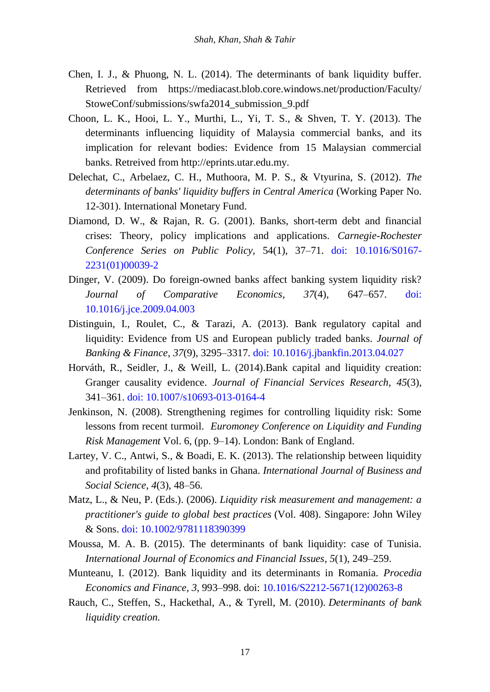- Chen, I. J., & Phuong, N. L. (2014). The determinants of bank liquidity buffer. Retrieved from https://mediacast.blob.core.windows.net/production/Faculty/ StoweConf/submissions/swfa2014\_submission\_9.pdf
- Choon, L. K., Hooi, L. Y., Murthi, L., Yi, T. S., & Shven, T. Y. (2013). The determinants influencing liquidity of Malaysia commercial banks, and its implication for relevant bodies: Evidence from 15 Malaysian commercial banks. Retreived from http://eprints.utar.edu.my.
- Delechat, C., Arbelaez, C. H., Muthoora, M. P. S., & Vtyurina, S. (2012). *The determinants of banks' liquidity buffers in Central America* (Working Paper No. 12-301). International Monetary Fund.
- Diamond, D. W., & Rajan, R. G. (2001). Banks, short-term debt and financial crises: Theory, policy implications and applications. *Carnegie-Rochester Conference Series on Public Policy,* 54(1), 37–71. [doi: 10.1016/S0167-](https://www.sciencedirect.com/science/article/pii/S0167223101000392?via%3Dihub) [2231\(01\)00039-2](https://www.sciencedirect.com/science/article/pii/S0167223101000392?via%3Dihub)
- Dinger, V. (2009). Do foreign-owned banks affect banking system liquidity risk? *Journal of Comparative Economics*, *37*(4), 647–657. [doi:](https://www.sciencedirect.com/science/article/pii/S0147596709000419?via%3Dihub)  [10.1016/j.jce.2009.04.003](https://www.sciencedirect.com/science/article/pii/S0147596709000419?via%3Dihub)
- Distinguin, I., Roulet, C., & Tarazi, A. (2013). Bank regulatory capital and liquidity: Evidence from US and European publicly traded banks. *Journal of Banking & Finance*, *37*(9), 3295–3317. [doi: 10.1016/j.jbankfin.2013.04.027](https://www.sciencedirect.com/science/article/pii/S0378426613002100?via%3Dihub)
- Horváth, R., Seidler, J., & Weill, L. (2014).Bank capital and liquidity creation: Granger causality evidence. *Journal of Financial Services Research, 45*(3), 341–361. [doi: 10.1007/s10693-013-0164-4](https://link.springer.com/article/10.1007%2Fs10693-013-0164-4)
- Jenkinson, N. (2008). Strengthening regimes for controlling liquidity risk: Some lessons from recent turmoil. *Euromoney Conference on Liquidity and Funding Risk Management* Vol. 6, (pp. 9–14). London: Bank of England.
- Lartey, V. C., Antwi, S., & Boadi, E. K. (2013). The relationship between liquidity and profitability of listed banks in Ghana. *International Journal of Business and Social Science*, *4*(3), 48–56.
- Matz, L., & Neu, P. (Eds.). (2006). *Liquidity risk measurement and management: a practitioner's guide to global best practices* (Vol. 408). Singapore: John Wiley & Sons. [doi: 10.1002/9781118390399](https://onlinelibrary.wiley.com/doi/book/10.1002/9781118390399)
- Moussa, M. A. B. (2015). The determinants of bank liquidity: case of Tunisia. *International Journal of Economics and Financial Issues*, *5*(1), 249–259.
- Munteanu, I. (2012). Bank liquidity and its determinants in Romania. *Procedia Economics and Finance*, *3*, 993–998. doi: [10.1016/S2212-5671\(12\)00263-8](https://www.sciencedirect.com/science/article/pii/S2212567112002638?via%3Dihub)
- Rauch, C., Steffen, S., Hackethal, A., & Tyrell, M. (2010). *Determinants of bank liquidity creation.*